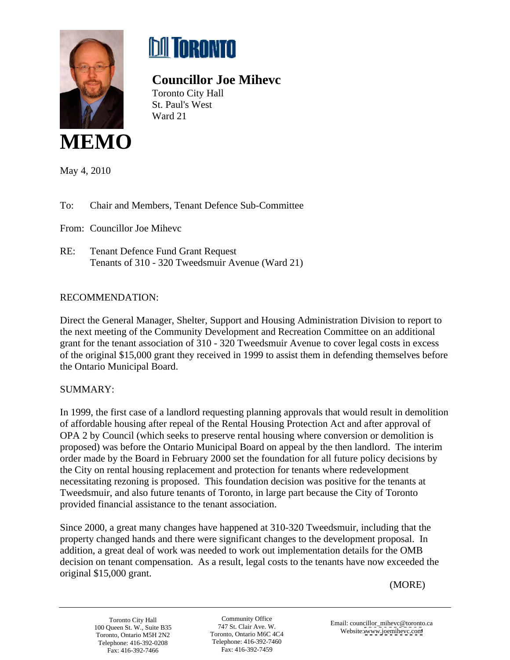



## **Councillor Joe Mihevc**

Toronto City Hall St. Paul's West Ward 21



May 4, 2010

To: Chair and Members, Tenant Defence Sub-Committee

From: Councillor Joe Mihevc

RE: Tenant Defence Fund Grant Request Tenants of 310 - 320 Tweedsmuir Avenue (Ward 21)

## RECOMMENDATION:

Direct the General Manager, Shelter, Support and Housing Administration Division to report to the next meeting of the Community Development and Recreation Committee on an additional grant for the tenant association of 310 - 320 Tweedsmuir Avenue to cover legal costs in excess of the original \$15,000 grant they received in 1999 to assist them in defending themselves before the Ontario Municipal Board.

## SUMMARY:

In 1999, the first case of a landlord requesting planning approvals that would result in demolition of affordable housing after repeal of the Rental Housing Protection Act and after approval of OPA 2 by Council (which seeks to preserve rental housing where conversion or demolition is proposed) was before the Ontario Municipal Board on appeal by the then landlord. The interim order made by the Board in February 2000 set the foundation for all future policy decisions by the City on rental housing replacement and protection for tenants where redevelopment necessitating rezoning is proposed. This foundation decision was positive for the tenants at Tweedsmuir, and also future tenants of Toronto, in large part because the City of Toronto provided financial assistance to the tenant association.

Since 2000, a great many changes have happened at 310-320 Tweedsmuir, including that the property changed hands and there were significant changes to the development proposal. In addition, a great deal of work was needed to work out implementation details for the OMB decision on tenant compensation. As a result, legal costs to the tenants have now exceeded the original \$15,000 grant.

(MORE)

Toronto, Ontario M5H 2N2 Toronto, Ontario M6C 4C4 Toronto, Ontario M6C 4C4 Telephone: 416-392-0208 Telephone: 416-392-7460

Community Office English consider million Characters of Toronto, Ontario M6C 4C4 website. www.joenineve.com Telephone: 416-392-7460 Fax: 416-392-7459 Fax: 416-392-7466

Toronto City Hall Community Office Email: councillor\_mihevc@toronto.ca<br>
2747 St. Clair Ave. W. The Community Office Email: councillor\_mihevc@toronto.ca Website: [www.joemihevc.com](http://www.joemihevc.com) 100 Queen St. W., Suite B35  $\frac{1}{2}$  147 St. Clair Ave. W.